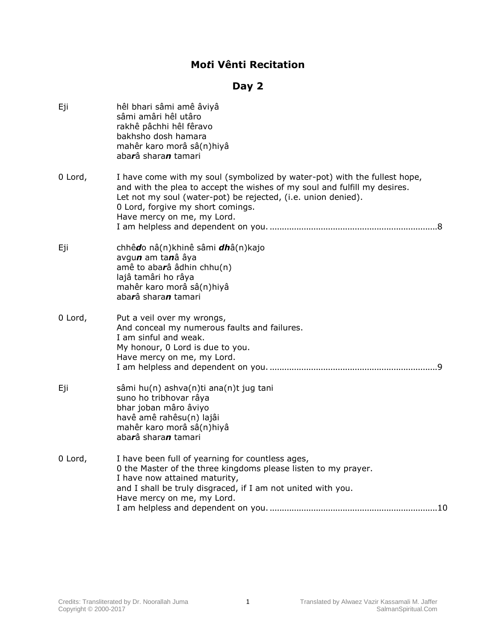## **Mo***t***i Vênti Recitation**

## **Day 2**

| Eji     | hêl bhari sâmi amê âviyâ<br>sâmi amâri hêl utâro<br>rakhê pâchhi hêl fêravo<br>bakhsho dosh hamara<br>mahêr karo morâ sâ(n)hiyâ<br>abarâ sharan tamari                                                                                                                                     |
|---------|--------------------------------------------------------------------------------------------------------------------------------------------------------------------------------------------------------------------------------------------------------------------------------------------|
| 0 Lord, | I have come with my soul (symbolized by water-pot) with the fullest hope,<br>and with the plea to accept the wishes of my soul and fulfill my desires.<br>Let not my soul (water-pot) be rejected, (i.e. union denied).<br>0 Lord, forgive my short comings.<br>Have mercy on me, my Lord. |
| Eji     | chhêdo nâ(n)khinê sâmi dhâ(n)kajo<br>avgun am tanâ âya<br>amê to abarâ âdhin chhu(n)<br>lajâ tamâri ho râya<br>mahêr karo morâ sâ(n)hiyâ<br>abarâ sharan tamari                                                                                                                            |
| 0 Lord, | Put a veil over my wrongs,<br>And conceal my numerous faults and failures.<br>I am sinful and weak.<br>My honour, 0 Lord is due to you.<br>Have mercy on me, my Lord.                                                                                                                      |
| Eji     | sâmi hu(n) ashva(n)ti ana(n)t jug tani<br>suno ho tribhovar râya<br>bhar joban mâro âviyo<br>havê amê rahêsu(n) lajâi<br>mahêr karo morâ sâ(n)hiyâ<br>abarâ sharan tamari                                                                                                                  |
| 0 Lord, | I have been full of yearning for countless ages,<br>0 the Master of the three kingdoms please listen to my prayer.<br>I have now attained maturity,<br>and I shall be truly disgraced, if I am not united with you.<br>Have mercy on me, my Lord.                                          |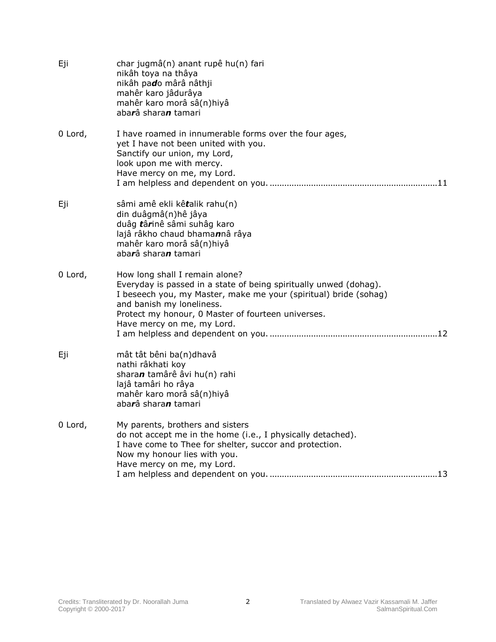| Eji     | char jugmâ(n) anant rupê hu(n) fari<br>nikâh toya na thâya<br>nikâh pado mârâ nâthji<br>mahêr karo jâdurâya<br>mahêr karo morâ sâ(n)hiyâ<br>abarâ sharan tamari                                                                                                                          |
|---------|------------------------------------------------------------------------------------------------------------------------------------------------------------------------------------------------------------------------------------------------------------------------------------------|
| 0 Lord, | I have roamed in innumerable forms over the four ages,<br>yet I have not been united with you.<br>Sanctify our union, my Lord,<br>look upon me with mercy.<br>Have mercy on me, my Lord.                                                                                                 |
| Eji     | sâmi amê ekli kêtalik rahu(n)<br>din duâgmâ(n)hê jâya<br>duâg târinê sâmi suhâg karo<br>lajâ râkho chaud bhamannâ râya<br>mahêr karo morâ sâ(n)hiyâ<br>abarâ sharan tamari                                                                                                               |
| 0 Lord, | How long shall I remain alone?<br>Everyday is passed in a state of being spiritually unwed (dohag).<br>I beseech you, my Master, make me your (spiritual) bride (sohag)<br>and banish my loneliness.<br>Protect my honour, 0 Master of fourteen universes.<br>Have mercy on me, my Lord. |
| Eji     | mât tât bêni ba(n)dhavâ<br>nathi râkhati koy<br>sharan tamârê âvi hu(n) rahi<br>lajâ tamâri ho râya<br>mahêr karo morâ sâ(n)hiyâ<br>aba <b>r</b> â shara <b>n</b> tamari                                                                                                                 |
| 0 Lord, | My parents, brothers and sisters<br>do not accept me in the home (i.e., I physically detached).<br>I have come to Thee for shelter, succor and protection.<br>Now my honour lies with you.<br>Have mercy on me, my Lord.                                                                 |